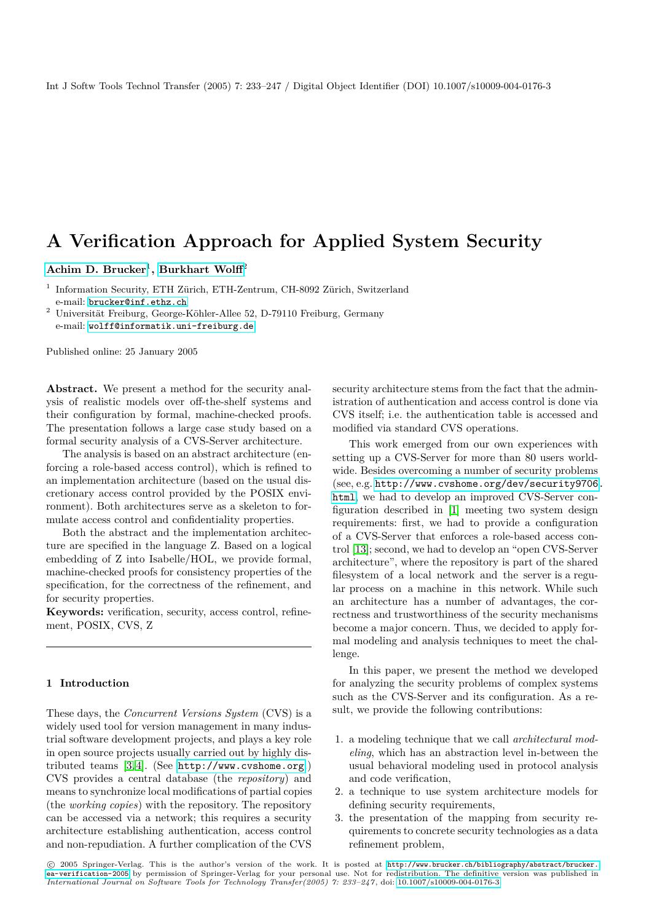# **[A Verifica](http://www.brucker.ch/)[tion Appr](http://www.informatik.uni-freiburg.de/~wolff)oach for Applied System Security**

**Achi[m D. Brucker](mailto:"Achim D. Brucker" <brucker@inf.ethz.ch>)**<sup>1</sup> **, Burkhart Wolff**<sup>2</sup>

1 Information Security, ETH Zürich, ETH-Zentrum, CH-8092 Zürich, Switzerland e-mail: [brucker@inf.ethz.ch](mailto:"Burkhart Wolff" <wolff@informatik.uni-freiburg.de>)

 $^2\,$ Universität Freiburg, George-Köhler-Allee 52, D-79110 Freiburg, Germany e-mail: wolff@informatik.uni-freiburg.de

Published online: 25 January 2005

**Abstract.** We present a method for the security analysis of realistic models over off-the-shelf systems and their configuration by formal, machine-checked proofs. The presentation follows a large case study based on a formal security analysis of a CVS-Server architecture.

The analysis is based on an abstract architecture (enforcing a role-based access control), which is refined to an implementation architecture (based on the usual discretionary access control provided by the POSIX environment). Both architectures serve as a skeleton to formulate access control and confidentiality properties.

Both the abstract and the implementation architecture are specified in the language Z. Based on a logical embedding of Z into Isabelle/HOL, we provide formal, machine-checked proofs for consistency properties of the specification, for the correctness of the refinement, and for security properties.

**Keywords:** verification, security, access control, refinement, POSIX, CVS, Z

# **1 Introduction**

These days, the *Concurrent Versions System* (CVS) is a widely used tool for version management in many industrial software [d](#page-13-0)[ev](#page-13-1)elopm[ent projects, and plays a key](http://www.cvshome.org) role in open source projects usually carried out by highly distributed teams  $[3, 4]$ . (See http://www.cvshome.org.) CVS provides a central database (the *repository*) and means to synchronize local modifications of partial copies (the *working copies*) with the repository. The repository can be accessed via a network; this requires a security architecture establishing authentication, access control [and non-repud](http://www.brucker.ch/bibliography/abstract/brucker.ea-verification-2005)iation. A further complication of the CVS security architecture stems from the fact that the administration of authentication and access control is done via CVS itself; i.e. the authentication table is accessed and modified via standard CVS operations.

This work emerged from our own experiences with setti[ng up a CVS-Server for more than 80 users wor](http://www.cvshome.org/dev/security9706.html)ld[wi](http://www.cvshome.org/dev/security9706.html)de. Besides overcoming a number of security problems (see, e.g. http://www[.c](#page-13-2)vshome.org/dev/security9706. html, we had to develop an improved CVS-Server configuration described in [1] meeting two system design r[equ](#page-14-0)irements: first, we had to provide a configuration of a CVS-Server that enforces a role-based access control [13]; second, we had to develop an "open CVS-Server architecture", where the repository is part of the shared filesystem of a local network and the server is a regular process on a machine in this network. While such an architecture has a number of advantages, the correctness and trustworthiness of the security mechanisms become a major concern. Thus, we decided to apply formal modeling and analysis techniques to meet the challenge.

In this paper, we present the method we developed for analyzing the security problems of complex systems such as the CVS-Server and its configuration. As a result, we provide the following contributions:

- 1. a modeling technique that we call *architectural modeling*, which has an abstraction level in-between the usual behavioral modeling used in protocol analysis and code verification,
- 2. a technique to use system architecture models for defining security requirements,
- 3. the presentation of the mapping from security requirements to concrete security technologies as a data refi[nement problem,](http://www.brucker.ch/bibliography/abstract/brucker.ea-verification-2005)

c 2005 Springer-Verlag. This is the author's version of the work. It is posted at [http://www.brucker.ch/bi](http://dx.doi.org/10.1007/s10009-004-0176-3)bliography/abstract/brucker. ea-verification-2005 by permission of Springer-Verlag for your personal use. Not for redistribution. The definitive version was published in *International Journal on Software Tools for Technology Transfer(2005) 7: 233–247* , doi: 10.1007/s10009-004-0176-3.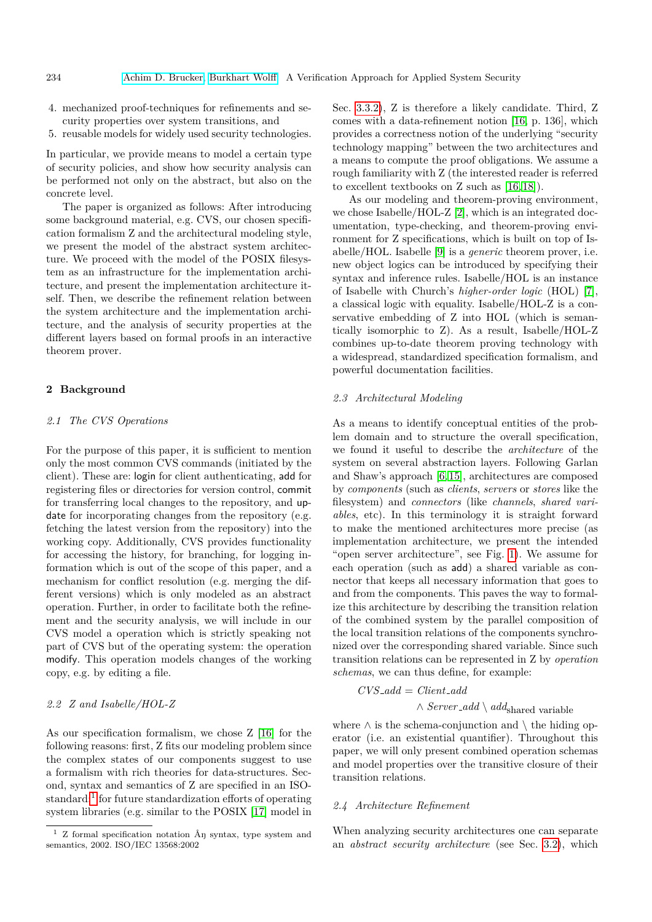- 4. mechanized proof-techniques for refinements and security properties over system transitions, and
- 5. reusable models for widely used security technologies.

In particular, we provide means to model a certain type of security policies, and show how security analysis can be performed not only on the abstract, but also on the concrete level.

The paper is organized as follows: After introducing some background material, e.g. CVS, our chosen specification formalism Z and the architectural modeling style, we present the model of the abstract system architecture. We proceed with the model of the POSIX filesystem as an infrastructure for the implementation architecture, and present the implementation architecture itself. Then, we describe the refinement relation between the system architecture and the implementation architecture, and the analysis of security properties at the different layers based on formal proofs in an interactive theorem prover.

## **2 Background**

## *2.1 The CVS Operations*

For the purpose of this paper, it is sufficient to mention only the most common CVS commands (initiated by the client). These are: login for client authenticating, add for registering files or directories for version control, commit for transferring local changes to the repository, and update for incorporating changes from the repository (e.g. fetching the latest version from the repository) into the working copy. Additionally, CVS provides functionality for accessing the history, for branching, for logging information which is out of the scope of this paper, and a mechanism for conflict resolution (e.g. merging the different versions) which is only modeled as an abstract operation. Further, in order to facilitate both the refinement and the security analysis, we will include in our CVS model a operation which is strictly speaking not part of CVS but of the operating system: the operation modify. This operation models changes of the working copy, e.g. by editing a file.

## *2.2 Z and Isabelle/HOL-Z*

As our specification formalism, we chose Z [16] for the following reasons: first, Z fits our modeling problem since the complex states of our components suggest to use a for[ma](#page-1-0)lism with rich theories for data-structures. Second, syntax and semantics of Z are spe[cifie](#page-14-1)d in an ISOstandard;<sup>1</sup> for future standardization efforts of operating system libraries (e.g. similar to the POSIX [17] model in Sec. 3.3.2), Z is therefore a likely candidate. Third, Z comes with a data-refinement notion [16, p. 136], which provides a correctness notion of the underlying "security technology mapping" between the two architectures and a means to compute the proof ob[liga](#page-14-2)[tio](#page-14-3)ns. We assume a rough familiarity with Z (the interested reader is referred to excellent textbooks [on](#page-13-3) Z such as [16, 18]).

As our modeling and theorem-proving environment, we chose Isabelle/HOL-Z [2], which is an integrated documentation, type[-ch](#page-14-4)ecking, and theorem-proving environment for Z specifications, which is built on top of Isabelle/HOL. Isabelle [9] is a *generic* theorem prover, i.e. new object logics can be introduced by specifyin[g t](#page-14-5)heir syntax and inference rules. Isabelle/HOL is an instance of Isabelle with Church's *higher-order logic* (HOL) [7], a classical logic with equality. Isabelle/HOL-Z is a conservative embedding of Z into HOL (which is semantically isomorphic to Z). As a result, Isabelle/HOL-Z combines up-to-date theorem proving technology with a widespread, standardized specification formalism, and powerful documentation facilities.

#### *2.3 Architectural Modeling*

As a means to identify conceptual entities of the problem domain and to structure the overall specification, we found it usefu[l](#page-13-4) [to d](#page-14-6)escribe the *architecture* of the system on several abstraction layers. Following Garlan and Shaw's approach [6, 15], architectures are composed by *components* (such as *clients*, *servers* or *stores* like the filesystem) and *connectors* (like *channels*, *shared variables*, etc). In this terminology it is straight forward to make the mentioned architec[tu](#page-2-0)res more precise (as implementation architecture, we present the intended "open server architecture", see Fig. 1). We assume for each operation (such as add) a shared variable as connector that keeps all necessary information that goes to and from the components. This paves the way to formalize this architecture by describing the transition relation of the combined system by the parallel composition of the local transition relations of the components synchronized over the corresponding shared variable. Since such transition relations can be represented in Z by *operation schemas*, we can thus define, for example:

$$
CVS\_add = Client\_add
$$

*∧ Server add \ add*shared variable

where *∧* is the schema-conjunction and *\* the hiding operator (i.e. an existential quantifier). Throughout this paper, we will only present combined operation schemas and model properties over the transitive closure of their transition relations.

## *2.4 Architecture Refinement*

When analyzing security architectures o[ne c](#page-3-0)an separate an *abstract security architecture* (see Sec. 3.2), which

<span id="page-1-0"></span><sup>1</sup> Z formal specification notation Âŋ syntax, type system and semantics, 2002. ISO/IEC 13568:2002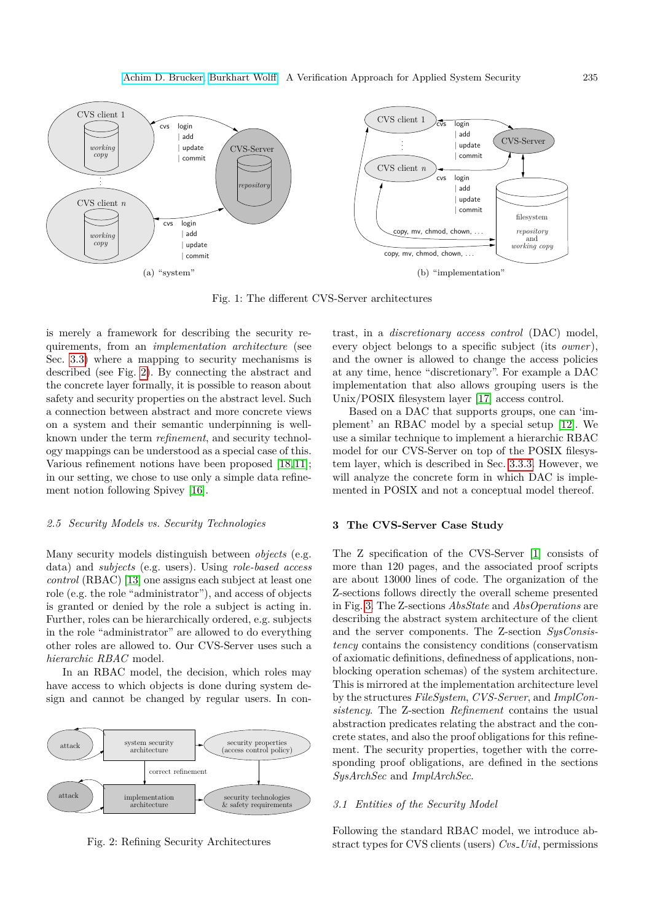

Fig. 1: The different CVS-Server architectures

i[s me](#page-5-1)rely a framework for describing the security requirements, fro[m](#page-2-1) an *implementation architecture* (see Sec. 3.3) where a mapping to security mechanisms is described (see Fig. 2). By connecting the abstract and the concrete layer formally, it is possible to reason about safety and security properties on the abstract level. Such a connection between abstract and more concrete views on a system and their semantic underpinning is wellknown under the term *refinement*, and securi[ty t](#page-14-3)[ech](#page-14-7)nology mappings can be understood as a special case of this. Various refinement notion[s ha](#page-14-2)ve been proposed [18, 11]; in our setting, we chose to use only a simple data refinement notion following Spivey [16].

#### *2.5 Security Models vs. Security Technologies*

Many securit[y m](#page-14-0)odels distinguish between *objects* (e.g. data) and *subjects* (e.g. users). Using *role-based access control* (RBAC) [13] one assigns each subject at least one role (e.g. the role "administrator"), and access of objects is granted or denied by the role a subject is acting in. Further, roles can be hierarchically ordered, e.g. subjects in the role "administrator" are allowed to do everything other roles are allowed to. Our CVS-Server uses such a *hierarchic RBAC* model.

In an RBAC model, the decision, which roles may have access to which objects is done during system design and cannot be changed by regular users. In con-



<span id="page-2-1"></span>Fig. 2: Refining Security Architectures

<span id="page-2-0"></span>trast, in a *discretionary access control* (DAC) model, every object belongs to a specific subject (its *owner*), and the owner is allowed to change the access policies at any time, hence "discre[tion](#page-14-1)ary". For example a DAC implementation that also allows grouping users is the Unix/POSIX filesystem layer [17] access co[ntro](#page-14-8)l.

Based on a DAC that supports groups, one can 'implement' an RBAC model by a special setup [12]. We use a similar technique to implem[ent a](#page-6-0) hierarchic RBAC model for our CVS-Server on top of the POSIX filesystem layer, which is described in Sec. 3.3.3. However, we will analyze the concrete form in which DAC is implemented in POSIX and not a conceptual model thereof.

### **3 The CVS-Server Case Study**

The Z specification of the CVS-Server [1] consists of more than 120 pages, and the associated proof scripts are [a](#page-3-1)bout 13000 lines of code. The organization of the Z-sections follows directly the overall scheme presented in Fig. 3. The Z-sections *AbsState* and *AbsOperations* are describing the abstract system architecture of the client and the server components. The Z-section *SysConsistency* contains the consistency conditions (conservatism of axiomatic definitions, definedness of applications, nonblocking operation schemas) of the system architecture. This is mirrored at the implementation architecture level by the structures *FileSystem*, *CVS-Server*, and *ImplConsistency*. The Z-section *Refinement* contains the usual abstraction predicates relating the abstract and the concrete states, and also the proof obligations for this refinement. The security properties, together with the corresponding proof obligations, are defined in the sections *SysArchSec* and *ImplArchSec*.

#### *3.1 Entities of the Security Model*

Following the standard RBAC model, we introduce abstract types for CVS clients (users) *Cvs Uid*, permissions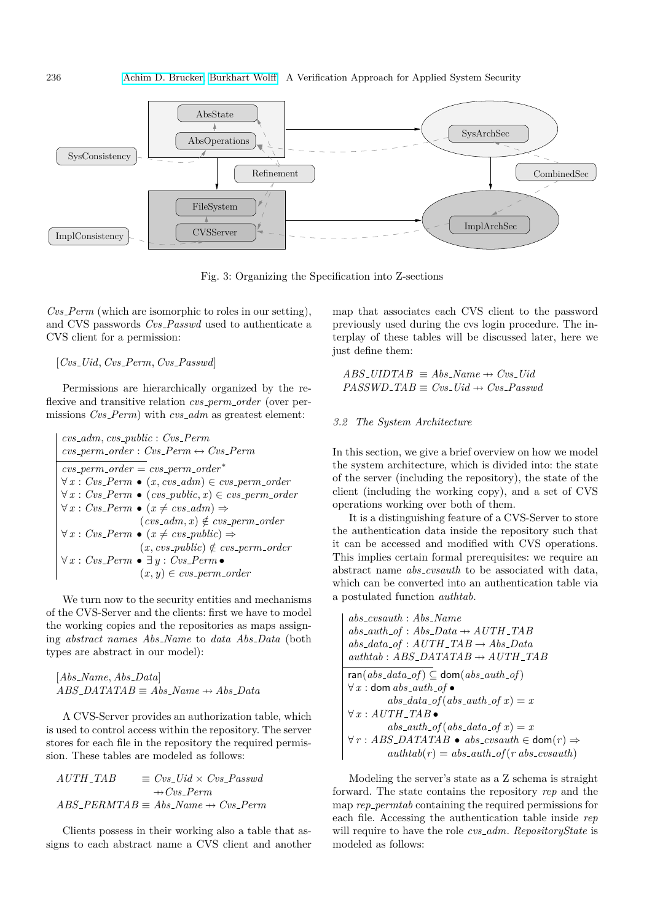

Fig. 3: Organizing the Specification into Z-sections

*Cvs Perm* (which are isomorphic to roles in our setting), and CVS passwords *Cvs Passwd* used to authenticate a CVS client for a permission:

#### [*Cvs Uid, Cvs Perm, Cvs Passwd*]

Permissions are hierarchically organized by the reflexive and transitive relation *cvs perm order* (over permissions *Cvs Perm*) with *cvs adm* as greatest element:

| $\cos_{\theta}$ cvs_public : $Cvs\_Perm$                                           |
|------------------------------------------------------------------------------------|
| $\textit{cvs\_perm\_order}: \textit{Cvs\_Perm} \leftrightarrow \textit{Cvs\_Perm}$ |
| $\cos_{\theta}$ rem_order = cvs_perm_order*                                        |
| $\forall x : Cvs\_Perm \bullet (x, cvs\_adm) \in cvs\_perm\_order$                 |
| $\forall x : Cvs\_Perm \bullet (cos\_public, x) \in \text{cos\_perm\_order}$       |
| $\forall x : Cvs\_Perm \bullet (x \neq cvs\_adm) \Rightarrow$                      |
| $(cvs\_adm, x) \notin cvs\_perm\_order$                                            |
| $\forall x : Cvs\_Perm \bullet (x \neq cvs\_public) \Rightarrow$                   |
| $(x, cvs\_public) \notin \textit{cvs\_perm\_order}$                                |
| $\forall x : Cvs\_Perm \bullet \exists y : Cvs\_Perm \bullet$                      |
| $(x, y) \in \textit{cvs\_perm\_order}$                                             |

We turn now to the security entities and mechanisms of the CVS-Server and the clients: first we have to model the working copies and the repositories as maps assigning *abstract names Abs Name* to *data Abs Data* (both types are abstract in our model):

[*Abs Name, Abs Data*]  $ABS$   $DATATAB \equiv Abs$   $Name \rightarrow Abs$   $Data$ 

A CVS-Server provides an authorization table, which is used to control access within the repository. The server stores for each file in the repository the required permission. These tables are modeled as follows:

 $AUTH\_TAB$   $\equiv Cvs\_Uid \times Cvs\_Passwd$ *7→Cvs Perm*  $ABS$  *PERMTAB*  $\equiv$  *Abs Name*  $\rightarrow$  *Cvs Perm* 

Clients possess in their working also a table that assigns to each abstract name a CVS client and another

<span id="page-3-1"></span>map that associates each CVS client to the password previously used during the cvs login procedure. The interplay of these tables will be discussed later, here we just define them:

<span id="page-3-0"></span> $ABS\_UIDTAB \equiv Abs\_Name \rightarrow Cvs\_Uid$  $PASSWD\_TAB \equiv Cvs\_Uid \rightarrow Cvs\_Passwd$ 

#### *3.2 The System Architecture*

In this section, we give a brief overview on how we model the system architecture, which is divided into: the state of the server (including the repository), the state of the client (including the working copy), and a set of CVS operations working over both of them.

It is a distinguishing feature of a CVS-Server to store the authentication data inside the repository such that it can be accessed and modified with CVS operations. This implies certain formal prerequisites: we require an abstract name *abs cvsauth* to be associated with data, which can be converted into an authentication table via a postulated function *authtab*.

```
abs cvsauth : Abs Name
abs_auth_of : Abs_Data \rightarrow AUTH\_TABabs\_data\_of : AUTH\_TAB \rightarrow Abs\_Dataauthtab : ABS DATATAB \rightarrow AUTH \_TABran(abs\_data\_of) \subseteq dom(abs\_auth\_of)∀ x : dom abs auth of •
         abs\_data\_of(abs\_auth\_of x) = x∀ x : AUTH TAB •
         abs_auth_of(abs_data_ofx) = x\forall r : ABS_DATATAB • abs_cvsauth \in dom(r) \Rightarrowauthtab(r) = abs_author(r \, abs\_cvsauth)
```
Modeling the server's state as a Z schema is straight forward. The state contains the repository *rep* and the map *rep\_permtab* containing the required permissions for each file. Accessing the authentication table inside *rep* will require to have the role *cvs adm*. *RepositoryState* is modeled as follows: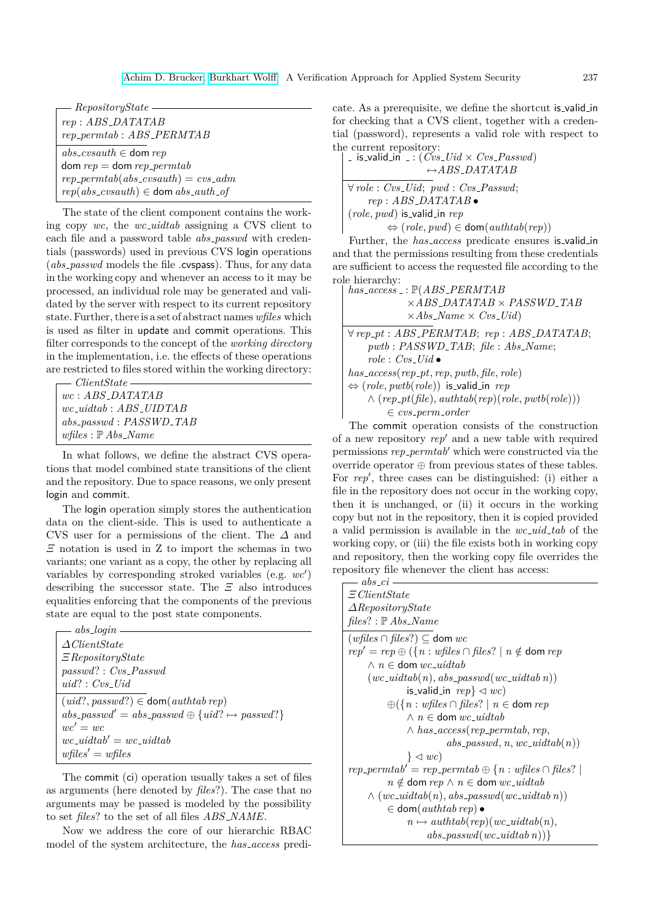| $\_\$ {RepositoryState}                          |
|--------------------------------------------------|
|                                                  |
| $rep: ABS\_DATATAB$                              |
| $rep\_permtab : ABS\_PERMTAB$                    |
| $abs\_cvsauth \in \text{dom rep}$                |
| $dom rep = dom rep\_permtab$                     |
| $rep\_permtab(abs\_cvsauth) = cvs\_adm$          |
| $rep(abs\_cvsauth) \in \text{dom abs}_-auth\_of$ |

The state of the client component contains the working copy *wc*, the *wc uidtab* assigning a CVS client to each file and a password table *abs passwd* with credentials (passwords) used in previous CVS login operations (*abs passwd* models the file .cvspass). Thus, for any data in the working copy and whenever an access to it may be processed, an individual role may be generated and validated by the server with respect to its current repository state. Further, there is a set of abstract names *wfiles* which is used as filter in update and commit operations. This filter corresponds to the concept of the *working directory* in the implementation, i.e. the effects of these operations are restricted to files stored within the working directory:

*ClientState wc* : *ABS DATATAB wc uidtab* : *ABS UIDTAB abs passwd* : *PASSWD TAB wfiles* : P *Abs Name*

In what follows, we define the abstract CVS operations that model combined state transitions of the client and the repository. Due to space reasons, we only present login and commit.

The login operation simply stores the authentication data on the client-side. This is used to authenticate a CVS user for a permissions of the client. The *∆* and *Ξ* notation is used in Z to import the schemas in two variants; one variant as a copy, the other by replacing all variables by corresponding stroked variables  $(e.g.  $wc')$$ describing the successor state. The *Ξ* also introduces equalities enforcing that the components of the previous state are equal to the post state components.

| $-abs\_login$                                                     |
|-------------------------------------------------------------------|
|                                                                   |
| $\triangle$ <i>ClientState</i>                                    |
| $E$ RepositoryState                                               |
| $passwd$ ?: $Cvs\_Passwd$                                         |
| $uid? : Cvs\_Uid$                                                 |
| $(uid?, passwd?) \in \text{dom}(authtab rep)$                     |
| $abs\_password' = abs\_password \oplus \{uid? \mapsto passwd? \}$ |
| $wc' = wc$                                                        |
| $wc\_uidtab' = wc\_uidtab$                                        |
| $w\text{files}' = w\text{files}$                                  |

The commit (ci) operation usually takes a set of files as arguments (here denoted by *files*?). The case that no arguments may be passed is modeled by the possibility to set *files*? to the set of all files *ABS NAME*.

Now we address the core of our hierarchic RBAC model of the system architecture, the *has access* predicate. As a prerequisite, we define the shortcut is valid in for checking that a CVS client, together with a credential (password), represents a valid role with respect to the current repository:

$$
\begin{array}{|l|l|l|}\n\hline\n\text{is-valid_in}' &:\n\begin{array}{l} (C & \text{is}\_Vid \times \text{Cvs}\_Passwd) \\ \hline\n\end{array} \\
\hline\n\end{array}\n\quad\n\begin{array}{|l|l|}\n\hline\n\text{vrole}: \text{Cvs}\_Uid; \text{pwd}: \text{Cvs}\_Passwd; \\
\hline\n\text{rep}: \text{ABS}\_DATATAB \bullet \\
\text{(role, pwd)} \text{is}\_valid\_in \text{rep} \\
\hline\n\end{array}
$$
\n
$$
(role, pwd) \in \text{dom}(\text{authtab}(\text{rep}))
$$

Further, the *has\_access* predicate ensures is\_valid\_in and that the permissions resulting from these credentials are sufficient to access the requested file according to the role hierarchy: *has access* : P(*ABS PERMTAB*

| $has\_access$ $\perp$ $\mathbb{P}(ABS\_PERMTAB)$                            |
|-----------------------------------------------------------------------------|
| $\times ABS\_DATATAB \times PASSWD\_TAB$                                    |
| $\times Abs\_Name \times Cvs\_Uid$                                          |
| $\forall$ rep_pt: ABS_PERMTAB; rep: ABS_DATATAB;                            |
| ${\it putb}: PASSWD\_TAB; \ {\it file: Abs\_Name};$                         |
| $role: Cvs\_Uid \bullet$                                                    |
| $has \_\, access (rep\_pt, rep, putb, file, role)$                          |
| $\Leftrightarrow$ $(\text{role}, \text{putb}(\text{role}))$ is_valid_in rep |
| $\wedge (rep\_pt(file),authtab(rep)(role, putb(role)))$                     |
| $\in \textit{cvs\_perm\_order}$                                             |
|                                                                             |

The commit operation consists of the construction of a new repository  $rep'$  and a new table with required permissions *rep\_permtab*<sup>*'*</sup> which were constructed via the override operator *⊕* from previous states of these tables. For rep<sup>'</sup>, three cases can be distinguished: (i) either a file in the repository does not occur in the working copy, then it is unchanged, or (ii) it occurs in the working copy but not in the repository, then it is copied provided a valid permission is available in the *wc uid tab* of the working copy, or (iii) the file exists both in working copy and repository, then the working copy file overrides the repository file whenever the client has access:

| $abs\_ci$                                                                         |
|-----------------------------------------------------------------------------------|
| $\Xi$ ClientState                                                                 |
| $\triangle$ RepositoryState                                                       |
| $files? : \mathbb{P} \text{ Abs} \text{.} Name$                                   |
| $(wfiles \cap files?) \subseteq \text{dom } wc$                                   |
| $rep' = rep \oplus (\{n : wfiles \cap files? \mid n \notin \text{dom rep}\})$     |
| $\wedge n \in$ dom $wc\_uidtab$                                                   |
| $(wc\_uidtab(n), abs\_password(wc\_uidtab n))$                                    |
| is_valid_in $rep$ } $\lhd$ $wc$ )                                                 |
| $\bigoplus (\{n : \text{wfiles} \cap \text{files?} \mid n \in \text{dom rep})\}\$ |
| $\land n \in$ dom $wc\_uidtab$                                                    |
| $\wedge$ has_access(rep_permtab, rep,                                             |
| $abs\_password, n, wc\_uidtab(n))$                                                |
| $\leq w c$                                                                        |
| $rep\_permtab' = rep\_permtab \oplus \{n : wfiles \cap files? \}$                 |
| $n \notin$ dom $rep \wedge n \in$ dom $wc\_uidtab$                                |
| $\wedge$ (wc_uidtab(n), abs_passwd(wc_uidtab n))                                  |
| $\in$ dom $(\textit{authtab rep}) \bullet$                                        |
| $n \mapsto \text{authtab}(\text{rep})(\text{wc}\_ \text{uidtab}(n),$              |
| $abs\_password(wc\_uidtab~n))$                                                    |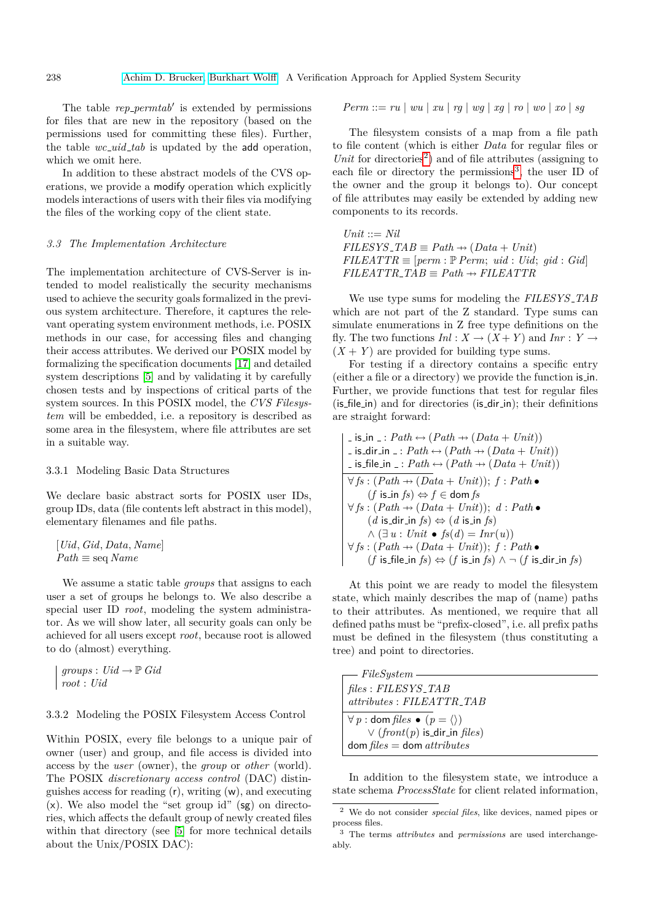The table *rep\_permtab*<sup>*i*</sup> is extended by permissions for files that are new in the repository (based on the permissions used for committing these files). Further, the table *wc uid tab* is updated by the add operation, which we omit here.

In addition to these abstract models of the CVS operations, we provide a modify operation which explicitly models interactions of users with their files via modifying the files of the working copy of the client state.

### <span id="page-5-1"></span>*3.3 The Implementation Architecture*

The implementation architecture of CVS-Server is intended to model realistically the security mechanisms used to achieve the security goals formalized in the previous system architecture. Therefore, it captures the relevant operating system environment methods, i.e. POSIX methods in our case, for accessing [file](#page-14-1)s and changing their access attri[bu](#page-13-5)tes. We derived our POSIX model by formalizing the specification documents [17] and detailed system descriptions [5] and by validating it by carefully chosen tests and by inspections of critical parts of the system sources. In this POSIX model, the *CVS Filesystem* will be embedded, i.e. a repository is described as some area in the filesystem, where file attributes are set in a suitable way.

#### 3.3.1 Modeling Basic Data Structures

We declare basic abstract sorts for POSIX user IDs, group IDs, data (file contents left abstract in this model), elementary filenames and file paths.

[*Uid, Gid, Data, Name*] *Path ≡* seq *Name*

We assume a static table *groups* that assigns to each user a set of groups he belongs to. We also describe a special user ID *root*, modeling the system administrator. As we will show later, all security goals can only be achieved for all users except *root*, because root is allowed to do (almost) everything.

<span id="page-5-0"></span> $groups: Uid \rightarrow \mathbb{P}$  *Gid root* : *Uid*

# 3.3.2 Modeling the POSIX Filesystem Access Control

Within POSIX, every file belongs to a unique pair of owner (user) and group, and file access is divided into access by the *user* (owner), the *group* or *other* (world). The POSIX *discretionary access control* (DAC) distinguishes access for reading  $(r)$ , writing  $(w)$ , and executing  $(x)$ . We also model the ["](#page-13-5)set group id"  $(sg)$  on directories, which affects the default group of newly created files within that directory (see [5] for more technical details about the Unix/POSIX DAC):

*Perm* ::= *ru*  $| wu | xu |$  *rg*  $| wg | xg |$  *ro*  $| wo | xo | sg$ 

The filesyst[em](#page-5-2) consists of a map from a file path to file content (which is either *Da[ta](#page-5-3)* for regular files or Unit for directories<sup>2</sup>) and of file attributes (assigning to each file or directory the permissions<sup>3</sup>, the user ID of the owner and the group it belongs to). Our concept of file attributes may easily be extended by adding new components to its records.

*Unit* ::= *Nil*  $FILESYS\_TAB \equiv Path \rightarrow (Data + Unit)$  $FILEATTR \equiv [perm : P\text{ Perm}; \text{uid} : \text{Uid}; \text{ gid} : \text{Gid}]$  $FILEATTR\_TAB \equiv Path \rightarrow FILEATTR$ 

We use type sums for modeling the *FILESYS TAB* which are not part of the Z standard. Type sums can simulate enumerations in Z free type definitions on the fly. The two functions  $Inl: X \to (X + Y)$  and  $Inr: Y \to$  $(X + Y)$  are provided for building type sums.

For testing if a directory contains a specific entry (either a file or a directory) we provide the function is in. Further, we provide functions that test for regular files (is file in) and for directories (is dir in); their definitions are straight forward:

$$
\begin{array}{l}\n\text{- is-in } \text{-: } Path \leftrightarrow (Path \leftrightarrow (Data + Unit)) \\
\text{- is-dir\_n } \text{-: } Path \leftrightarrow (Path \leftrightarrow (Data + Unit)) \\
\hline\n\text{- is-file_in } \text{-: } Path \leftrightarrow (Path \leftrightarrow (Data + Unit)) \\
\hline\n\forall fs : (Path \leftrightarrow (Data + Unit)); f : Path \bullet \\
\text{( } f \text{ is-in } fs) \Leftrightarrow f \in \text{dom } fs \\
\forall fs : (Path \leftrightarrow (Data + Unit)); d : Path \bullet \\
\text{( } d \text{ is-dir\_in } fs) \Leftrightarrow (d \text{ is-in } fs) \\
\land (\exists u : Unit \bullet fs(d) = Inr(u)) \\
\forall fs : (Path \leftrightarrow (Data + Unit)); f : Path \bullet \\
\text{( } f \text{ is-file_in } fs) \Leftrightarrow (f \text{ is-in } fs) \land \neg (f \text{ is-dir\_in } fs)\n\end{array}
$$

At this point we are ready to model the filesystem state, which mainly describes the map of (name) paths to their attributes. As mentioned, we require that all defined paths must be "prefix-closed", i.e. all prefix paths must be defined in the filesystem (thus constituting a tree) and point to directories.

| $- \textit{FileSystem}$                                   |
|-----------------------------------------------------------|
| $files : FILESYS\_TAB$                                    |
| $attributes: FILEATTR\_TAB$                               |
|                                                           |
| $\forall p :$ dom files $\bullet$ $(p = \langle \rangle)$ |
| $\vee$ (front(p) is_dir_in files)                         |
| $dom files = dom attributes$                              |
|                                                           |

<span id="page-5-2"></span>In addition to the filesystem state, we introduce a state schema *ProcessState* for client related information,

<span id="page-5-3"></span><sup>2</sup> We do not consider *special files*, like devices, named pipes or process files.

<sup>3</sup> The terms *attributes* and *permissions* are used interchangeably.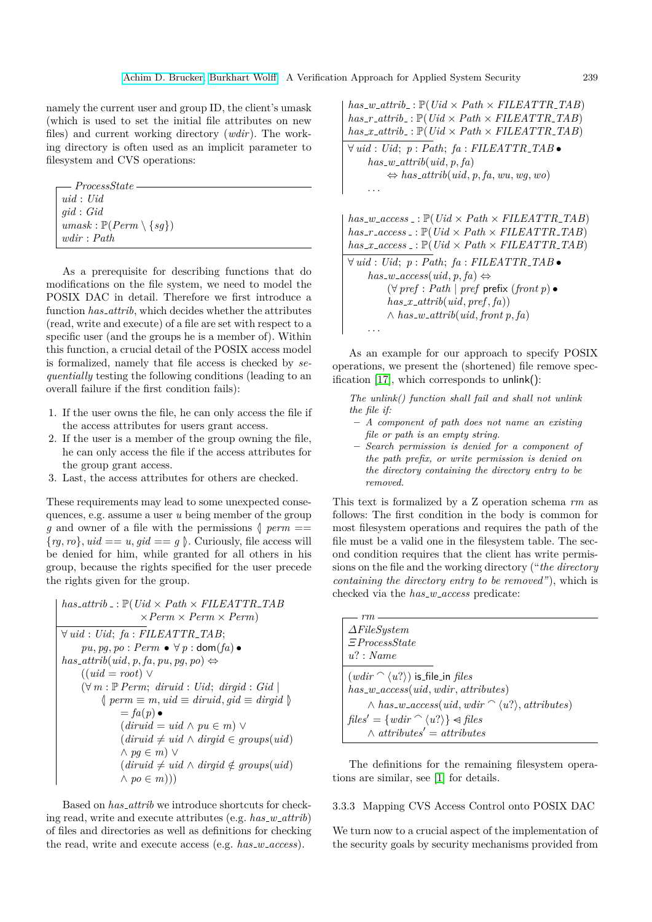*. . .*

*rm*

namely the current user and group ID, the client's umask (which is used to set the initial file attributes on new files) and current working directory (*wdir*). The working directory is often used as an implicit parameter to filesystem and CVS operations:

| $\overline{\phantom{0}}$ ProcessState $\overline{\phantom{0}}$ |
|----------------------------------------------------------------|
| uid: Uid                                                       |
|                                                                |
| qid: Gid                                                       |
| $umask : \mathbb{P}(Perm \setminus \{sq\})$                    |
| width: Path                                                    |

As a prerequisite for describing functions that do modifications on the file system, we need to model the POSIX DAC in detail. Therefore we first introduce a function *has attrib*, which decides whether the attributes (read, write and execute) of a file are set with respect to a specific user (and the groups he is a member of). Within this function, a crucial detail of the POSIX access model is formalized, namely that file access is checked by *sequentially* testing the following conditions (leading to an overall failure if the first condition fails):

- 1. If the user owns the file, he can only access the file if the access attributes for users grant access.
- 2. If the user is a member of the group owning the file, he can only access the file if the access attributes for the group grant access.
- 3. Last, the access attributes for others are checked.

These requirements may lead to some unexpected consequences, e.g. assume a user *u* being member of the group *g* and owner of a file with the permissions  $\langle$  *perm* ==  ${rg, ro}$ ,  $uid == u, gid == g$ . Curiously, file access will be denied for him, while granted for all others in his group, because the rights specified for the user precede the rights given for the group.

$$
has\_attribute : \mathbb{P}(Uid \times Path \times FILEATTR\_TAB \times Perm \times Perm \times Perm)
$$
  
\n
$$
\forall uid : Uid; fa : FILEATTR\_TAB;
$$
  
\n
$$
pu, pg, po : Perm \bullet \forall p : dom(fa) \bullet
$$
  
\n
$$
has\_attribute(uid, p, fa, pu, pg, po) \Leftrightarrow
$$
  
\n
$$
((uid = root) \vee
$$
  
\n
$$
(\forall m : \mathbb{P} \text{ Perm}; \text{ diruid} : Uid; \text{ dirigid} : Gid \mid
$$
  
\n
$$
\Diamond \text{ perm} \equiv m, \text{uid} \equiv \text{diruid}, \text{gid} \equiv \text{ dirigid} \ \Diamond
$$
  
\n
$$
= fa(p) \bullet
$$
  
\n
$$
(\text{diruid} = uid \land pu \in m) \vee
$$
  
\n
$$
(\text{diruid} \neq uid \land \text{ dirigid} \in groups(uid) \land pg \in m)) \vee
$$
  
\n
$$
(\text{diruid} \neq uid \land \text{ dirigid} \notin groups(uid) \land po \in m)))
$$

Based on *has attrib* we introduce shortcuts for checking read, write and execute attributes (e.g. *has w attrib*) of files and directories as well as definitions for checking the read, write and execute access (e.g. *has w access*).

 $has\_w\_attribute$ :  $\mathbb{P}($ *Uid*  $\times$  *Path*  $\times$  *FILEATTR\_TAB*)  $has\_r\_attribute$ :  $\mathbb{P}(Uid \times Path \times FILEATTR\_TAB)$  $has\_x\_attribute$ :  $\mathbb{P}(Uid \times Path \times FILEATTR\_TAB)$ *∀ uid* : *Uid*; *p* : *Path*; *fa* : *FILEATTR TAB •*  $has\_w\_attribute$  *(uid, p, fa) ⇔ has attrib*(*uid, p, fa, wu, wg, wo*)

 $has\_w\_access$ :  $\mathbb{P}($ *Uid*  $\times$  *Path*  $\times$  *FILEATTR\_TAB*)  $has_r\_access$ :  $\mathbb{P}(Uid \times Path \times FILEATTR\_TAB)$  $has\_x\_access$ .:  $\mathbb{P}(Uid \times Path \times FILEATTR\_TAB)$ *∀ uid* : *Uid*; *p* : *Path*; *fa* : *FILEATTR TAB •*  $has\_w\_access(uid, p, fa)$  *⇔* (*∀ pref* : *Path | pref* prefix (*front p*) *•*  $has\_x\_attribute(uid, pref, fa))$ *∧ has w attrib*(*uid, front p, fa*) *. . .*

A[s an](#page-14-1) example for our approach to specify POSIX operations, we present the (shortened) file remove specification [17], which corresponds to unlink():

*The unlink() function shall fail and shall not unlink the file if:*

- **–** *A component of path does not name an existing file or path is an empty string.*
- **–** *Search permission is denied for a component of the path prefix, or write permission is denied on the directory containing the directory entry to be removed.*

This text is formalized by a Z operation schema *rm* as follows: The first condition in the body is common for most filesystem operations and requires the path of the file must be a valid one in the filesystem table. The second condition requires that the client has write permissions on the file and the working directory ("*the directory containing the directory entry to be removed"*), which is checked via the *has w access* predicate:

| ,,,,,<br>$\Delta$ FileSystem<br>$E$ ProcessState                                                       |
|--------------------------------------------------------------------------------------------------------|
| $u$ ?: Name                                                                                            |
| $(wdir \cap \langle u? \rangle)$ is file in files<br>$has\_w\_access(uid, wdir, attributes)$           |
| $\land$ has_w_access(uid, wdir $\cap$ $\langle u? \rangle$ , attributes)                               |
| $files' = \{ wdir \cap \langle u? \rangle \} \triangleleft files$<br>$\wedge$ attributes' = attributes |

<span id="page-6-0"></span>The definitions for the remaining filesystem operations are similar, see [1] for details.

## 3.3.3 Mapping CVS Access Control onto POSIX DAC

We turn now to a crucial aspect of the implementation of the security goals by security mechanisms provided from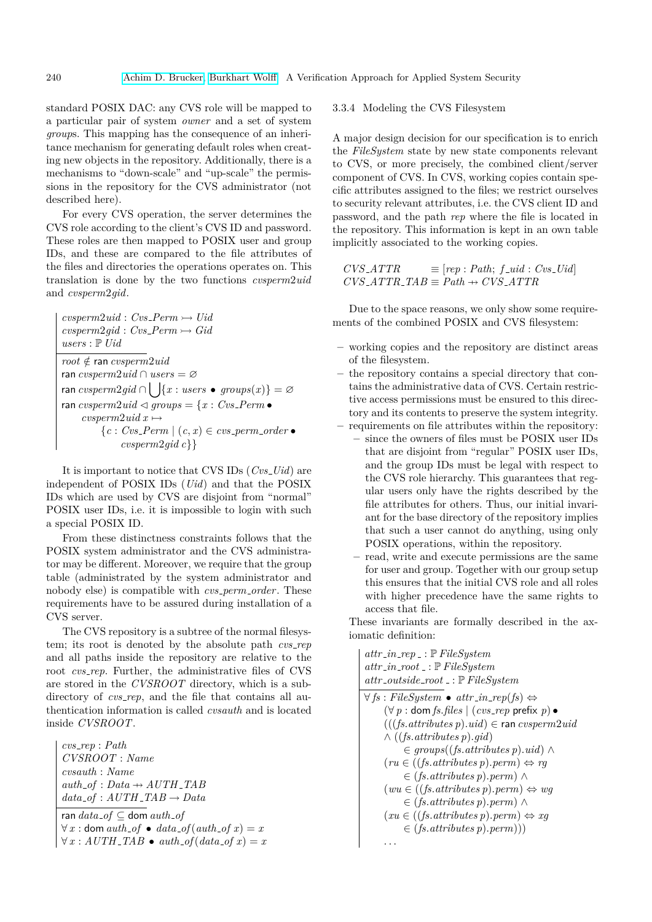standard POSIX DAC: any CVS role will be mapped to a particular pair of system *owner* and a set of system *group*s. This mapping has the consequence of an inheritance mechanism for generating default roles when creating new objects in the repository. Additionally, there is a mechanisms to "down-scale" and "up-scale" the permissions in the repository for the CVS administrator (not described here).

For every CVS operation, the server determines the CVS role according to the client's CVS ID and password. These roles are then mapped to POSIX user and group IDs, and these are compared to the file attributes of the files and directories the operations operates on. This translation is done by the two functions *cvsperm*2*uid* and *cvsperm*2*gid*.

 $cvsperm2uid : Cvs\_Perm \rightarrow Vid$  $cvsperm2$ *gid* :  $Cvs\_Perm \rightarrow Gid$ *users* : P *Uid root ∈/* ran *cvsperm*2*uid* ran *cvsperm*2*uid ∩ users* = ∅  $r$ an  $cvsperm2gid \cap [$   $|(x:users \bullet \textit{groups}(x)) = \varnothing$ ran  $cvsperm2uid \triangleleft groups = \{x : Cvs\_Perm\bullet\}$  $cysperm2uid x \mapsto$ *{c* : *Cvs Perm |* (*c, x*) *∈ cvs perm order • cvsperm*2*gid c}}*

It is important to notice that CVS IDs (*Cvs Uid*) are independent of POSIX IDs (*Uid*) and that the POSIX IDs which are used by CVS are disjoint from "normal" POSIX user IDs, i.e. it is impossible to login with such a special POSIX ID.

From these distinctness constraints follows that the POSIX system administrator and the CVS administrator may be different. Moreover, we require that the group table (administrated by the system administrator and nobody else) is compatible with *cvs perm order*. These requirements have to be assured during installation of a CVS server.

The CVS repository is a subtree of the normal filesystem; its root is denoted by the absolute path *cvs rep* and all paths inside the repository are relative to the root *cvs rep*. Further, the administrative files of CVS are stored in the *CVSROOT* directory, which is a subdirectory of *cvs\_rep*, and the file that contains all authentication information is called *cvsauth* and is located inside *CVSROOT*.

*cvs rep* : *Path CVSROOT* : *Name cvsauth* : *Name*  $auth\_of : Data \rightarrow AUTH\_TAB$  $data\_of: AUTH\_TAB \rightarrow Data$ 

ran  $data\_of \subseteq$  dom  $auth\_of$ *∀ x* : dom  $auth_of \bullet data_of(auxth_of x) = x$  $∀x : AUTH\_TAB \bullet auth\_of(data\_of x) = x$ 

## 3.3.4 Modeling the CVS Filesystem

A major design decision for our specification is to enrich the *FileSystem* state by new state components relevant to CVS, or more precisely, the combined client/server component of CVS. In CVS, working copies contain specific attributes assigned to the files; we restrict ourselves to security relevant attributes, i.e. the CVS client ID and password, and the path *rep* where the file is located in the repository. This information is kept in an own table implicitly associated to the working copies.

 $CVS \_ATTR \equiv [rep : Path; f\_uid : Cvs\_Uid]$  $CVS \text{ } \angle ATTR \text{ } \angle TAB \equiv Path \rightarrow CVS \text{ } \angle ATTR$ 

Due to the space reasons, we only show some requirements of the combined POSIX and CVS filesystem:

- **–** working copies and the repository are distinct areas of the filesystem.
- **–** the repository contains a special directory that contains the administrative data of CVS. Certain restrictive access permissions must be ensured to this directory and its contents to preserve the system integrity.
- **–** requirements on file attributes within the repository: **–** since the owners of files must be POSIX user IDs that are disjoint from "regular" POSIX user IDs, and the group IDs must be legal with respect to the CVS role hierarchy. This guarantees that regular users only have the rights described by the file attributes for others. Thus, our initial invariant for the base directory of the repository implies that such a user cannot do anything, using only POSIX operations, within the repository.
	- **–** read, write and execute permissions are the same for user and group. Together with our group setup this ensures that the initial CVS role and all roles with higher precedence have the same rights to access that file.

These invariants are formally described in the axiomatic definition:

*attr in rep* : P *FileSystem attr in root* : P *FileSystem attr outside root* : P *FileSystem*  $∀$  *fs* : *FileSystem* • *attr\_in\_rep*(*fs*)  $\Leftrightarrow$ (*∀ p* : dom *fs.files |* (*cvs rep* prefix *p*) *•* (((*fs.attributes p*)*.uid*) *∈* ran *cvsperm*2*uid ∧* ((*fs.attributes p*)*.gid*) *∈ groups*((*fs.attributes p*)*.uid*) *∧* (*ru ∈* ((*fs.attributes p*)*.perm*) *⇔ rg ∈* (*fs.attributes p*)*.perm*) *∧* (*wu ∈* ((*fs.attributes p*)*.perm*) *⇔ wg ∈* (*fs.attributes p*)*.perm*) *∧* (*xu ∈* ((*fs.attributes p*)*.perm*) *⇔ xg ∈* (*fs.attributes p*)*.perm*))) *. . .*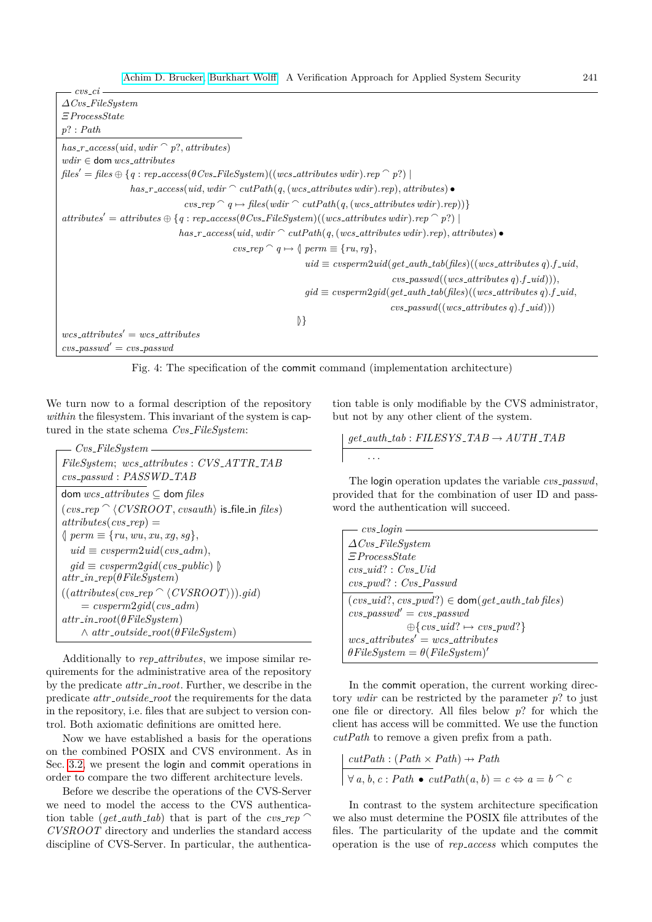*cvs ci ∆Cvs FileSystem ΞProcessState p*? : *Path*  $has_r\_access(uid, wdir \cap p?$ , *attributes*)  $\emph{wdir} \in \text{dom}\; \emph{wcs\_attributes}$  $files' = files \oplus \{q : rep\_access(\theta Cvs\_Filesystem)((wcs\_attributes wdir).rep \cap p?\}$ *has*  $r$  *access*(*uid, wdir*  $\degree$  *cutPath*(*q*, (*wcs attributes wdir*)*.rep*)*, attributes*) •  $cvs$ <sub>*rep*</sub>  $\cap$   $q \mapsto$   $files(wdir \cap cutPath(q, (wcs_attributeswdir).rep))$ }  $a$ *dtributes*<sup> $\prime$ </sup> =  $a$ *ttributes*  $\oplus$  { $q$  :  $rep$   $access(\theta Cvs$  *FileSystem* $)((wcs$  *attributes*  $wdir)$ *.rep*  $\cap$   $p$ ?) | *has*  $r$  *access*(*uid,*  $w$ dir  $\cap$  *cutPath*(*q*, (*wcs attributes wdir*)*.rep*)*, attributes*)  $\bullet$  $cvs\_rep \cap q \mapsto \langle p \mid \text{perm} \equiv \{ru, rg\},\$  $uid \equiv \text{cusperm2} \, \text{uid}(\text{get}\text{-} \text{auth}\text{-} \text{tab}(\text{files})((\text{wcs}\text{-} \text{attributes}\text{ q}).\text{f}\text{-} \text{uid},$  $cvs\_password((wcs\_attributes q).f\_uid))$ ),  $gid \equiv cvsperm2gid(get\_auth\_tab(files)((wcs\_attributes q).f\_uid,$  $cvs\_password((wcs\_attributes q).f\_uid)))$ *|i}*  $wcs_$ <sub>*attributes'* =  $wcs_$ <sub>*attributes*</sub></sub>  $cvs\_{passwd'} = cvs\_{passwd}$ 

Fig. 4: The specification of the commit command (implementation architecture)

<span id="page-8-0"></span>We turn now to a formal description of the repository *within* the filesystem. This invariant of the system is captured in the state schema *Cvs FileSystem*:

| Cvs. FileSystem                                                                |
|--------------------------------------------------------------------------------|
|                                                                                |
| $FileSystem;$ wcs_attributes : $CVS \_ATTR \_TAB$                              |
| $\cos_2 p$ asswd: PASSWD_TAB                                                   |
|                                                                                |
| dom $wcs\_attributes \subseteq$ dom files                                      |
| $(cvs_{\textit{rep}} \cap \langle CVSROOT, cvsauth \rangle)$ is file in files) |
| $attributes(cvs_{\neg} rep)$ =                                                 |
| $\langle \text{perm} \equiv \{ru, wu, xu, xg, sg\},\rangle$                    |
| $uid \equiv cvsperm2uid(cvs\_adm),$                                            |
| $gid \equiv cvsperm2gid(cvs\_public)$                                          |
| $attr\_in\_rep(\theta FileSystem)$                                             |
| $((attributes(cvs\_rep \cap (CVSROOT))).gid)$                                  |
| $= cusperm2gid(cvs\_adm)$                                                      |
| $attr\_in\_root(\theta{FileSystem})$                                           |
| $\wedge$ attr_outside_root( $\theta$ FileSystem)                               |

Additionally to *rep attributes*, we impose similar requirements for the administrative area of the repository by the predicate *attr in root*. Further, we describe in the predicate *attr outside root* the requirements for the data in the repository, i.e. files that are subject to version control. Both axiomatic definitions are omitted here.

[N](#page-3-0)ow we have established a basis for the operations on the combined POSIX and CVS environment. As in Sec. 3.2, we present the login and commit operations in order to compare the two different architecture levels.

Before we describe the operations of the CVS-Server we need to model the access to the CVS authentication table  $(get\_auth\_tab)$  that is part of the  $cvs\_rep$ *CVSROOT* directory and underlies the standard access discipline of CVS-Server. In particular, the authentication table is only modifiable by the CVS administrator, but not by any other client of the system.

$$
get\_auth\_tab : FILESYS\_TAB \rightarrow AUTH\_TAB
$$
  
...

The login operation updates the variable *cvs passwd*, provided that for the combination of user ID and password the authentication will succeed.

| $\cos\omega$                                                     |
|------------------------------------------------------------------|
|                                                                  |
| $\triangle C$ vs_FileSystem                                      |
| EProcessState                                                    |
| $cvs\_uid$ ? : $Cvs\_Uid$                                        |
| $cvs\_pwd$ ? : $Cvs\_Passwd$                                     |
| $(cvs\_uid?, cvs\_pwd?) \in \text{dom}(get\_auth\_tab \, files)$ |
| $\cos\beta$ passwd' = $\cos\beta$ passwd                         |
| $\bigoplus \{ \text{cos\_uid?} \mapsto \text{cos\_prod?} \}$     |
| $wcs\_attributes' = wcs\_attributes$                             |
| $\theta$ FileSystem = $\theta$ (FileSystem)'                     |

In the commit operation, the current working directory *wdir* can be restricted by the parameter *p*? to just one file or directory. All files below *p*? for which the client has access will be committed. We use the function *cutPath* to remove a given prefix from a path.

$$
\frac{cutPath : (Path \times Path) \rightarrow Path}{\forall a, b, c : Path \bullet cutPath(a, b) = c \Leftrightarrow a = b ^ c
$$

In contrast to the system architecture specification we also must determine the POSIX file attributes of the files. The particularity of the update and the commit operation is the use of *rep access* which computes the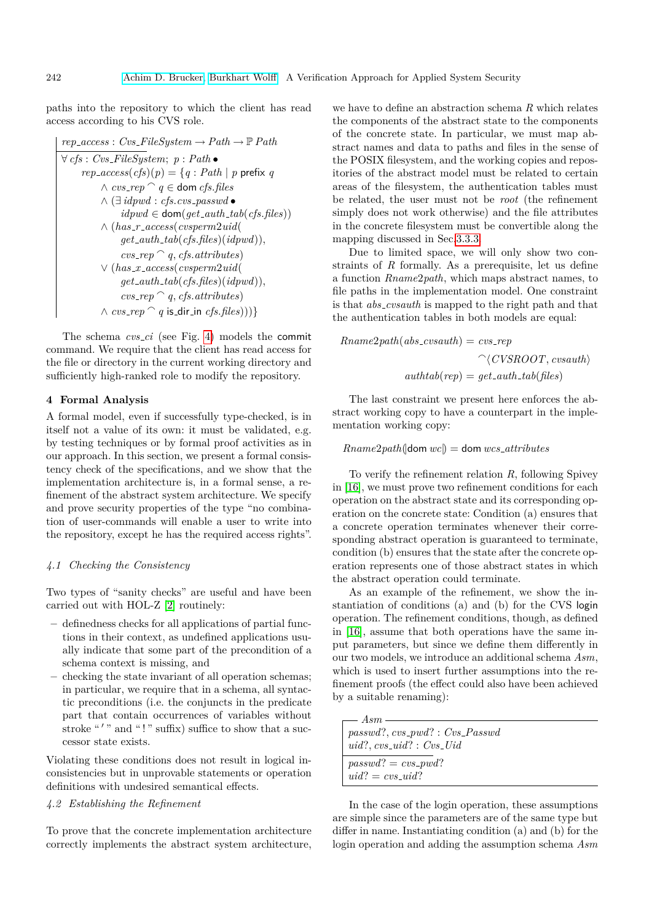paths into the repository to which the client has read access according to his CVS role.

$$
rep\_access: Cvs\_FileSystem \rightarrow Path \rightarrow \mathbb{P} \ Path
$$
\n
$$
\forall \text{ cfs: } Cvs\_FileSystem; \ p: Path \bullet
$$
\n
$$
rep\_access(cfs)(p) = \{q: Path \mid p \text{ prefix } q
$$
\n
$$
\land \text{ cvs\_rep} \cap q \in \text{dom } \text{cfs}.\text{files}
$$
\n
$$
\land (\exists \text{ idpwd}: \text{ cfs. } \text{cvs. } \text{passwd} \bullet \text{ idpwd} \in \text{dom } (\text{get\_auth\_tab} ( \text{ cfs. } \text{files})) )
$$
\n
$$
\land (\text{has\_r\_access}(\text{cvsperm2uid}(\text{get\_auth\_tab} (\text{cfs}.\text{files}) (\text{idpwd})), \text{cvs\_rep} \cap q, \text{ cfs. } \text{attribute}) )
$$
\n
$$
\lor (\text{has\_x\_access}(\text{cvsperm2uid}(\text{get\_auth\_tab} (\text{cfs}.\text{files}) (\text{idpwd})), \text{cvs\_rep} \cap q, \text{ cfs. } \text{attribute}) )
$$
\n
$$
\land \text{cvs\_rep} \cap q \text{ is\_dir\_in } \text{ cfs. } \text{files}))) \}
$$

The schema *cvs ci* (see Fig. 4) models the commit command. We require that the client has read access for the file or directory in the current working directory and sufficiently high-ranked role to modify the repository.

## **4 Formal Analysis**

A formal model, even if successfully type-checked, is in itself not a value of its own: it must be validated, e.g. by testing techniques or by formal proof activities as in our approach. In this section, we present a formal consistency check of the specifications, and we show that the implementation architecture is, in a formal sense, a refinement of the abstract system architecture. We specify and prove security properties of the type "no combination of user-commands will enable a user to write into the repository, except he has the required access rights".

#### *4.1 Checking the Consistency*

Two types of "sanity checks" are useful and have been carried out with HOL-Z [2] routinely:

- **–** definedness checks for all applications of partial functions in their context, as undefined applications usually indicate that some part of the precondition of a schema context is missing, and
- **–** checking the state invariant of all operation schemas; in particular, we require that in a schema, all syntactic preconditions (i.e. the conjuncts in the predicate part that contain occurrences of variables without stroke "'" and "!" suffix) suffice to show that a successor state exists.

Violating these conditions does not result in logical inconsistencies but in unprovable statements or operation definitions with undesired semantical effects.

## *4.2 Establishing the Refinement*

To prove that the concrete implementation architecture correctly implements the abstract system architecture, we have to define an abstraction schema *R* which relates the components of the abstract state to the components of the concrete state. In particular, we must map abstract names and data to paths and files in the sense of the POSIX filesystem, and the working copies and repositories of the abstract model must be related to certain areas of the filesystem, the authentication tables must be related, the user must not be *root* (the refinement simply does not work [other](#page-6-0)wise) and the file attributes in the concrete filesystem must be convertible along the mapping discussed in Sec.3.3.3.

Due to limited space, we will only show two constraints of *R* formally. As a prerequisite, let us define a function *Rname*2*path*, which maps abstract names, to file paths in the implementation model. One constraint is that *abs cvsauth* is mapped to the right path and that the authentication tables in both models are equal:

$$
Rname2path(abs\_cvsauth) = cvs\_rep
$$

$$
\bigg\langle \bigg\langle CVSROOT, cvsauth \bigg\rangle
$$

$$
authtab(rep) = get\_auth\_tab(files)
$$

The last constraint we present here enforces the abstract working copy to have a counterpart in the implementation working copy:

# *Rname*2*path*(*|*dom *wc|*) = dom *wcs attributes*

To verify the refinement relation *R*, following Spivey in [16], we must prove two refinement conditions for each operation on the abstract state and its corresponding operation on the concrete state: Condition (a) ensures that a concrete operation terminates whenever their corresponding abstract operation is guaranteed to terminate, condition (b) ensures that the state after the concrete operation represents one of those abstract states in which the abstract operation could terminate.

As an example of the refinement, we show the in[sta](#page-14-2)ntiation of conditions (a) and (b) for the CVS login operation. The refinement conditions, though, as defined in [16], assume that both operations have the same input parameters, but since we define them differently in our two models, we introduce an additional schema *Asm*, which is used to insert further assumptions into the refinement proofs (the effect could also have been achieved by a suitable renaming):

| Asm                                     |  |
|-----------------------------------------|--|
|                                         |  |
| $passwd$ ?, $cvs\_pwd$ ?: $Cvs\_Passwd$ |  |
| $uid?, cvs\_uid? : Cvs\_Uid$            |  |
| $passwd? = cvs\_pwd?$                   |  |
| $uid? = cvs\_uid?$                      |  |
|                                         |  |

In the case of the login operation, these assumptions are simple since the parameters are of the same type but differ in name. Instantiating condition (a) and (b) for the login operation and adding the assumption schema *Asm*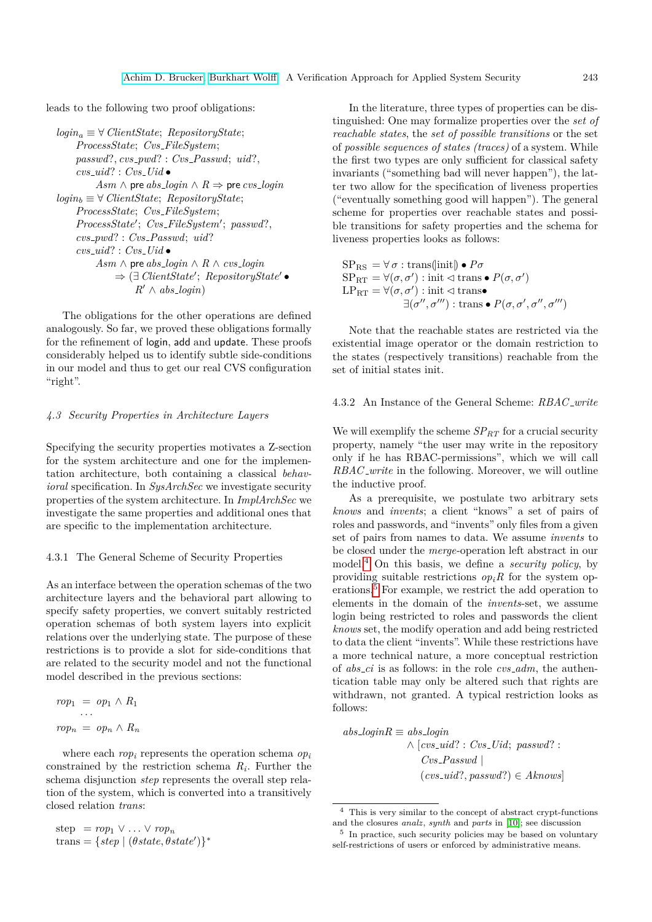leads to the following two proof obligations:

*login<sup>a</sup> ≡ ∀ ClientState*; *RepositoryState*; *ProcessState*; *Cvs FileSystem*; *passwd*?*, cvs pwd*? : *Cvs Passwd*; *uid*?*,*  $cvs\_uid$ ? :  $Cvs\_Uid$   $\bullet$ *Asm*  $∧$  pre *abs\_login*  $∧$   $R$   $⇒$  pre *cvs\_login login<sup>b</sup> ≡ ∀ ClientState*; *RepositoryState*; *ProcessState*; *Cvs FileSystem*; *ProcessState<sup>0</sup>* ; *Cvs FileSystem<sup>0</sup>* ; *passwd*?*, cvs pwd*? : *Cvs Passwd*; *uid*? *cvs uid*? : *Cvs Uid • Asm ∧* pre *abs login ∧ R ∧ cvs login*  $\Rightarrow$  (*∃ ClientState'*; *RepositoryState'* •  $R' \wedge abs\_loain$ 

The obligations for the other operations are defined analogously. So far, we proved these obligations formally for the refinement of login, add and update. These proofs considerably helped us to identify subtle side-conditions in our model and thus to get our real CVS configuration "right".

### *4.3 Security Properties in Architecture Layers*

Specifying the security properties motivates a Z-section for the system architecture and one for the implementation architecture, both containing a classical *behavioral* specification. In *SysArchSec* we investigate security properties of the system architecture. In *ImplArchSec* we investigate the same properties and additional ones that are specific to the implementation architecture.

## 4.3.1 The General Scheme of Security Properties

As an interface between the operation schemas of the two architecture layers and the behavioral part allowing to specify safety properties, we convert suitably restricted operation schemas of both system layers into explicit relations over the underlying state. The purpose of these restrictions is to provide a slot for side-conditions that are related to the security model and not the functional model described in the previous sections:

$$
rop_1 = op_1 \wedge R_1
$$
  
...  

$$
rop_n = op_n \wedge R_n
$$

where each  $rop<sub>i</sub>$  represents the operation schema  $op<sub>i</sub>$ constrained by the restriction schema *R<sup>i</sup>* . Further the schema disjunction *step* represents the overall step relation of the system, which is converted into a transitively closed relation *trans*:

 $step = pop_1 \vee \ldots \vee pop_n$  ${\rm trans} = \{step \mid (\theta state, \theta state')\}^*$ 

In the literature, three types of properties can be distinguished: One may formalize properties over the *set of reachable states*, the *set of possible transitions* or the set of *possible sequences of states (traces)* of a system. While the first two types are only sufficient for classical safety invariants ("something bad will never happen"), the latter two allow for the specification of liveness properties ("eventually something good will happen"). The general scheme for properties over reachable states and possible transitions for safety properties and the schema for liveness properties looks as follows:

$$
SP_{RS} = \forall \sigma : \text{trans}(\text{init}) \bullet P\sigma
$$
  
\n
$$
SP_{RT} = \forall (\sigma, \sigma') : \text{init} \lhd \text{trans} \bullet P(\sigma, \sigma')
$$
  
\n
$$
LP_{RT} = \forall (\sigma, \sigma') : \text{init} \lhd \text{trans} \bullet
$$
  
\n
$$
\exists (\sigma'', \sigma''') : \text{trans} \bullet P(\sigma, \sigma', \sigma'', \sigma''')
$$

Note that the reachable states are restricted via the existential image operator or the domain restriction to the states (respectively transitions) reachable from the set of initial states init.

## 4.3.2 An Instance of the General Scheme: *RBAC write*

We will exemplify the scheme *SPRT* for a crucial security property, namely "the user may write in the repository only if he has RBAC-permissions", which we will call *RBAC write* in the following. Moreover, we will outline the inductive proof.

As a prerequisite, we postulate two arbitrary sets *knows* and *invents*; a client "knows" a set of pairs of roles and passwords, and "invents" only files from a given set [o](#page-10-0)f pairs from names to data. We assume *invents* to be closed under the *merge*-operation left abstract in our mod[el.](#page-10-1)<sup>4</sup> On this basis, we define a *security policy*, by providing suitable restrictions  $op_i R$  for the system operations.<sup>5</sup> For example, we restrict the add operation to elements in the domain of the *invents*-set, we assume login being restricted to roles and passwords the client *knows* set, the modify operation and add being restricted to data the client "invents". While these restrictions have a more technical nature, a more conceptual restriction of *abs ci* is as follows: in the role *cvs adm*, the authentication table may only be altered such that rights are withdrawn, not granted. A typical restriction looks as follows:

 $abs\_loainR \equiv abs\_loain$ *∧* [*cvs uid*? : *Cvs Uid*; *passwd*? : *Cvs Passwd |*  $(cvs\_uid?, passwd?) \in Aknows]$ 

<span id="page-10-1"></span><span id="page-10-0"></span><sup>4</sup> This is very similar to the concept of abstract crypt-functions and the closures *analz*, *synth* and *parts* in [10]; see discussion

<sup>5</sup> In practice, such security policies may be based on voluntary self-restrictions of users or enforced by administrative means.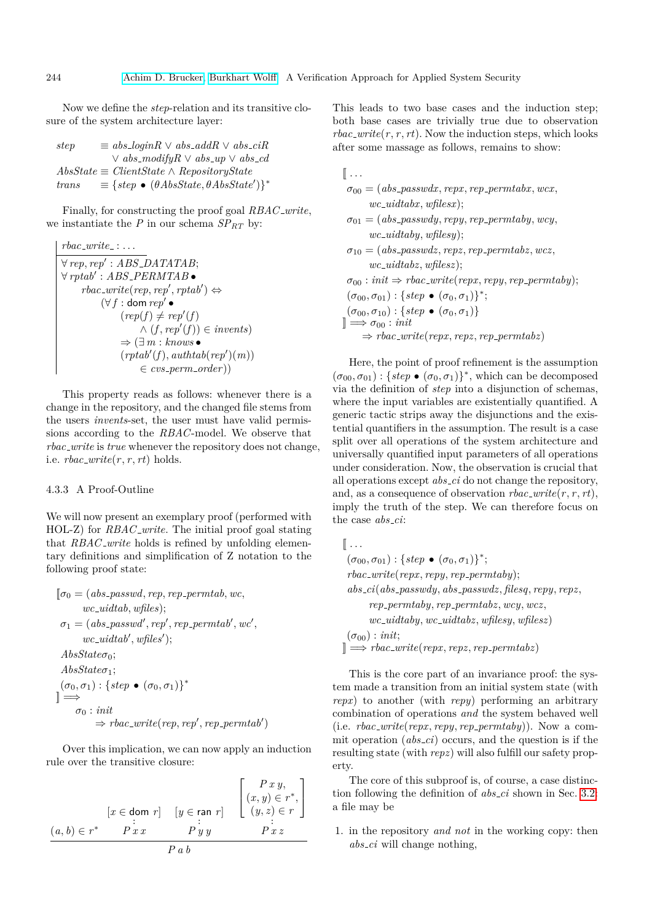Now we define the *step*-relation and its transitive closure of the system architecture layer:

 $step \equiv abs\_loginR \lor abs\_addR \lor abs\_ciR$ *∨ abs modifyR ∨ abs up ∨ abs cd AbsState ≡ ClientState ∧ RepositoryState*  $trans \equiv \{step \bullet (\theta AbsState, \theta AbsState)\}^*$ 

Finally, for constructing the proof goal *RBAC write*, we instantiate the *P* in our schema  $SP_{RT}$  by:

```
rbac write : . . .
∀ rep, rep0
: ABS DATATAB;
\forall rptab<sup>\prime</sup> : ABS_PERMTAB •
     rbac\_write(rep, rep', rptab') \Leftrightarrow(∀ f : dom rep'(rep(f) \neq rep'(f))\land (f, rep'(f)) \in invents)
               ⇒ (∃ m : knows \bullet(rptab'(f), \tauthtab(rep')(m))\in \textit{cvs\_perm\_order})
```
This property reads as follows: whenever there is a change in the repository, and the changed file stems from the users *invents*-set, the user must have valid permissions according to the *RBAC*-model. We observe that *rbac write* is *true* whenever the repository does not change, i.e.  $rbac\_write(r, r, rt)$  holds.

# 4.3.3 A Proof-Outline

We will now present an exemplary proof (performed with HOL-Z) for *RBAC write*. The initial proof goal stating that *RBAC write* holds is refined by unfolding elementary definitions and simplification of Z notation to the following proof state:

$$
[\![\sigma_0=(abs\_password, rep, rep\_permtab, wc, wc\_uidtab, wfiles);\n\sigma_1=(abs\_password', rep', rep\_permtab', wc', wc\_uidtab', wfiles');\nAbsState\sigma_0;\nAbsState\sigma_1;\n(\sigma_0, \sigma_1): {step • (\sigma_0, \sigma_1)}^*\n\implies \n\sigma_0: init\n\Rightarrow rbac\_write(rep, rep', rep\_permtab')
$$

Over this implication, we can now apply an induction rule over the transitive closure:

$$
[x \in \text{dom } r] \quad [y \in \text{ran } r] \quad \begin{bmatrix} P \ x \ y, \\ (x, y) \in r^* , \\ (y, z) \in r \end{bmatrix}
$$

$$
\begin{bmatrix} (a, b) \in r^* & P \ x \ x & P \ y \ y & P \ x \ z \end{bmatrix}
$$

$$
\begin{bmatrix} P \ x \ y, \\ (y, z) \in r \end{bmatrix}
$$

This leads to two base cases and the induction step; both base cases are trivially true due to observation  $rbac\_write(r, r, rt)$ . Now the induction steps, which looks after some massage as follows, remains to show:

$$
\lceil \, \ldots \, \rceil
$$

 $\sigma_{00} = (abs\_passwordx, repr, rep\_permtabx, wcx,$ *wc uidtabx, wfilesx*);  $\sigma_{01} = (abs_{\textit{p}} \textit{asswdy}, \textit{repy}, \textit{rep}_{\textit{p}} \textit{ermtaby}, \textit{wcy},$ *wc uidtaby, wfilesy*);  $\sigma_{10} = (abs\_passwordz, repz, rep\_permtabz, wcz,$ *wc uidtabz, wfilesz*);  $\sigma_{00}$ :  $init \Rightarrow \text{rbac\_write}(\text{repx}, \text{repy}, \text{rep\_permably});$  $(\sigma_{00}, \sigma_{01}) : \{ \text{step } \bullet (\sigma_0, \sigma_1) \}^*;$  $(\sigma_{00}, \sigma_{10}) : \{ \text{step } \bullet (\sigma_0, \sigma_1) \}$  $\mathbb{I} \Longrightarrow \sigma_{00} : init$  $\Rightarrow$  *rbac\_write*(*repx, repz, rep\_permtabz*)

Here, the point of proof refinement is the assumption  $(\sigma_{00}, \sigma_{01}) : \{ \text{step} \bullet (\sigma_0, \sigma_1) \}^*$ , which can be decomposed via the definition of *step* into a disjunction of schemas, where the input variables are existentially quantified. A generic tactic strips away the disjunctions and the existential quantifiers in the assumption. The result is a case split over all operations of the system architecture and universally quantified input parameters of all operations under consideration. Now, the observation is crucial that all operations except *abs ci* do not change the repository, and, as a consequence of observation  $rbac\_write(r, r, rt)$ , imply the truth of the step. We can therefore focus on the case *abs ci*:

 $[\, \ldots$  $(\sigma_{00}, \sigma_{01}) : \{ \text{step } \bullet (\sigma_0, \sigma_1) \}^*;$ *rbac write*(*repx, repy, rep permtaby*); *abs ci*(*abs passwdy, abs passwdz, filesq, repy, repz, rep permtaby, rep permtabz, wcy, wcz, wc uidtaby, wc uidtabz, wfilesy, wfilesz*)  $(\sigma_{00})$  : *init*;  $\mathbb{R} \Longrightarrow$  *rbac\_write*(*repx, repz, rep\_permtabz*)

This is the core part of an invariance proof: the system made a transition from an initial system state (with *repx*) to another (with *repy*) performing an arbitrary combination of operations *and* the system behaved well (i.e. *rbac write*(*repx, repy, rep permtaby*)). Now a commit operation (*abs ci*) occurs, and the question is if the resulting state (with *repz*) will also fulfill our safety property.

The core of this subproof is, of course, a case [dist](#page-3-0)inction following the definition of *abs ci* shown in Sec. 3.2: a file may be

1. in the repository *and not* in the working copy: then *abs ci* will change nothing,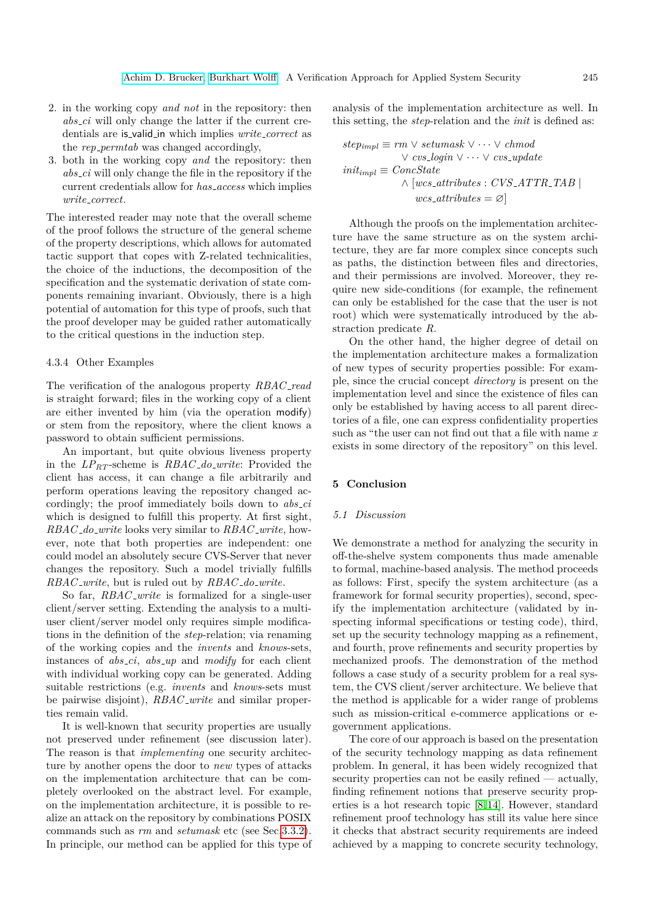- 2. in the working copy *and not* in the repository: then *abs ci* will only change the latter if the current credentials are is valid in which implies *write correct* as the *rep permtab* was changed accordingly,
- 3. both in the working copy *and* the repository: then *abs ci* will only change the file in the repository if the current credentials allow for *has access* which implies *write correct*.

The interested reader may note that the overall scheme of the proof follows the structure of the general scheme of the property descriptions, which allows for automated tactic support that copes with Z-related technicalities, the choice of the inductions, the decomposition of the specification and the systematic derivation of state components remaining invariant. Obviously, there is a high potential of automation for this type of proofs, such that the proof developer may be guided rather automatically to the critical questions in the induction step.

#### 4.3.4 Other Examples

The verification of the analogous property *RBAC read* is straight forward; files in the working copy of a client are either invented by him (via the operation modify) or stem from the repository, where the client knows a password to obtain sufficient permissions.

An important, but quite obvious liveness property in the *LPRT* -scheme is *RBAC do write*: Provided the client has access, it can change a file arbitrarily and perform operations leaving the repository changed accordingly; the proof immediately boils down to *abs ci* which is designed to fulfill this property. At first sight, *RBAC do write* looks very similar to *RBAC write*, however, note that both properties are independent: one could model an absolutely secure CVS-Server that never changes the repository. Such a model trivially fulfills *RBAC write*, but is ruled out by *RBAC do write*.

So far, *RBAC write* is formalized for a single-user client/server setting. Extending the analysis to a multiuser client/server model only requires simple modifications in the definition of the *step*-relation; via renaming of the working copies and the *invents* and *knows*-sets, instances of *abs ci*, *abs up* and *modify* for each client with individual working copy can be generated. Adding suitable restrictions (e.g. *invents* and *knows*-sets must be pairwise disjoint), *RBAC write* and similar properties remain valid.

It is well-known that security properties are usually not preserved under refinement (see discussion later). The reason is that *implementing* one security architecture by another opens the door to *new* types of attacks on the implementation architecture that can be completely overlooked on the abstract level. For example, on the implementation architecture, it is pos[sible t](#page-5-0)o realize an attack on the repository by combinations POSIX commands such as *rm* and *setumask* etc (see Sec.3.3.2). In principle, our method can be applied for this type of analysis of the implementation architecture as well. In this setting, the *step*-relation and the *init* is defined as:

$$
step_{impl} \equiv rm \lor setumask \lor \cdots \lor chmod
$$
  

$$
\lor \text{cos\_login} \lor \cdots \lor \text{cos\_update}
$$
  

$$
init_{impl} \equiv \text{ConcState}
$$
  

$$
\land [\text{wcs\_attributes} : \text{CVS\_ATTR\_TAB} |
$$
  

$$
\text{wcs\_attributes} = \varnothing]
$$

Although the proofs on the implementation architecture have the same structure as on the system architecture, they are far more complex since concepts such as paths, the distinction between files and directories, and their permissions are involved. Moreover, they require new side-conditions (for example, the refinement can only be established for the case that the user is not root) which were systematically introduced by the abstraction predicate *R*.

On the other hand, the higher degree of detail on the implementation architecture makes a formalization of new types of security properties possible: For example, since the crucial concept *directory* is present on the implementation level and since the existence of files can only be established by having access to all parent directories of a file, one can express confidentiality properties such as "the user can not find out that a file with name *x* exists in some directory of the repository" on this level.

## **5 Conclusion**

#### *5.1 Discussion*

We demonstrate a method for analyzing the security in off-the-shelve system components thus made amenable to formal, machine-based analysis. The method proceeds as follows: First, specify the system architecture (as a framework for formal security properties), second, specify the implementation architecture (validated by inspecting informal specifications or testing code), third, set up the security technology mapping as a refinement, and fourth, prove refinements and security properties by mechanized proofs. The demonstration of the method follows a case study of a security problem for a real system, the CVS client/server architecture. We believe that the method is applicable for a wider range of problems such as mission-critical e-commerce applications or egovernment applications.

The core of our approach is based on the presentation of the security technology mapping as data refinement problem. In general, it has been widely recognized that security properties can not [b](#page-14-9)[e ea](#page-14-10)sily refined — actually, finding refinement notions that preserve security properties is a hot research topic [8, 14]. However, standard refinement proof technology has still its value here since it checks that abstract security requirements are indeed achieved by a mapping to concrete security technology,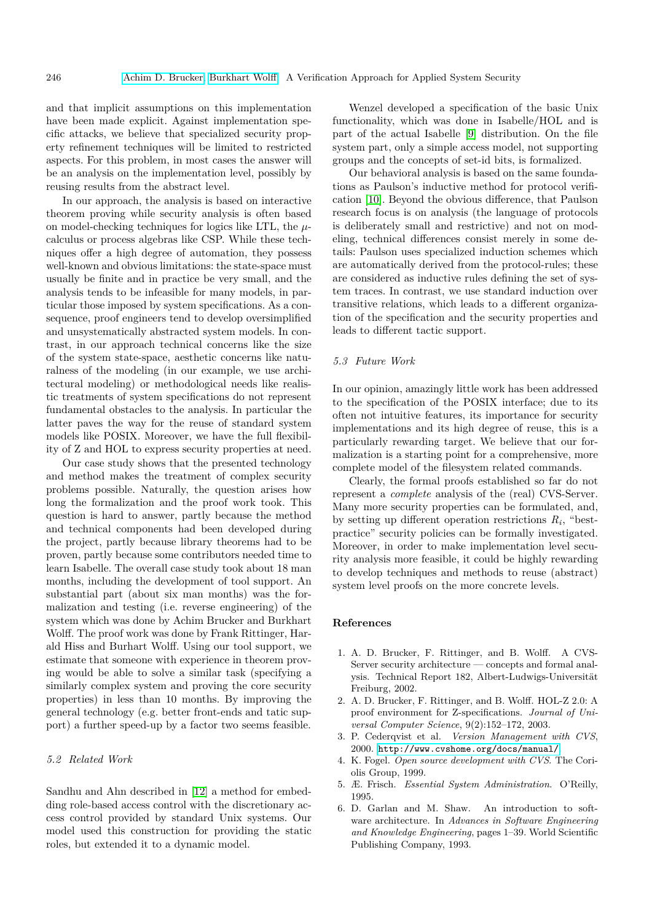and that implicit assumptions on this implementation have been made explicit. Against implementation specific attacks, we believe that specialized security property refinement techniques will be limited to restricted aspects. For this problem, in most cases the answer will be an analysis on the implementation level, possibly by reusing results from the abstract level.

In our approach, the analysis is based on interactive theorem proving while security analysis is often based on model-checking techniques for logics like LTL, the *µ*calculus or process algebras like CSP. While these techniques offer a high degree of automation, they possess well-known and obvious limitations: the state-space must usually be finite and in practice be very small, and the analysis tends to be infeasible for many models, in particular those imposed by system specifications. As a consequence, proof engineers tend to develop oversimplified and unsystematically abstracted system models. In contrast, in our approach technical concerns like the size of the system state-space, aesthetic concerns like naturalness of the modeling (in our example, we use architectural modeling) or methodological needs like realistic treatments of system specifications do not represent fundamental obstacles to the analysis. In particular the latter paves the way for the reuse of standard system models like POSIX. Moreover, we have the full flexibility of Z and HOL to express security properties at need.

Our case study shows that the presented technology and method makes the treatment of complex security problems possible. Naturally, the question arises how long the formalization and the proof work took. This question is hard to answer, partly because the method and technical components had been developed during the project, partly because library theorems had to be proven, partly because some contributors needed time to learn Isabelle. The overall case study took about 18 man months, including the development of tool support. An substantial part (about six man months) was the formalization and testing (i.e. reverse engineering) of the system which was done by Achim Brucker and Burkhart Wolff. The proof work was done by Frank Rittinger, Harald Hiss and Burhart Wolff. Using our tool support, we estimate that someone with experience in theorem proving would be able to solve a similar task (specifying a similarly complex system and proving the core security properties) in less than 10 months. By improving the general technology (e.g. better front-ends and tatic support) a further speed-up by a factor two seems feasible.

# *5.2 Related Work*

Sandhu and Ahn described in [12] a method for embedding role-based access control with the discretionary access control provided by standard Unix systems. Our model used this construction for providing the static roles, but extended it to a dynamic model.

Wenzel developed a [sp](#page-14-4)ecification of the basic Unix functionality, which was done in Isabelle/HOL and is part of the actual Isabelle [9] distribution. On the file system part, only a simple access model, not supporting groups and the concepts of set-id bits, is formalized.

[Our](#page-14-11) behavioral analysis is based on the same foundations as Paulson's inductive method for protocol verification [10]. Beyond the obvious difference, that Paulson research focus is on analysis (the language of protocols is deliberately small and restrictive) and not on modeling, technical differences consist merely in some details: Paulson uses specialized induction schemes which are automatically derived from the protocol-rules; these are considered as inductive rules defining the set of system traces. In contrast, we use standard induction over transitive relations, which leads to a different organization of the specification and the security properties and leads to different tactic support.

## *5.3 Future Work*

In our opinion, amazingly little work has been addressed to the specification of the POSIX interface; due to its often not intuitive features, its importance for security implementations and its high degree of reuse, this is a particularly rewarding target. We believe that our formalization is a starting point for a comprehensive, more complete model of the filesystem related commands.

Clearly, the formal proofs established so far do not represent a *complete* analysis of the (real) CVS-Server. Many more security properties can be formulated, and, by setting up different operation restrictions  $R_i$ , "bestpractice" security policies can be formally investigated. Moreover, in order to make implementation level security analysis more feasible, it could be highly rewarding to develop techniques and methods to reuse (abstract) system level proofs on the more concrete levels.

#### <span id="page-13-2"></span>**References**

- <span id="page-13-3"></span>1. A. D. Brucker, F. Rittinger, and B. Wolff. A CVS-Server security architecture — concepts and formal analysis. Technical Report 182, Albert-Ludwigs-Universität Freiburg, 2002.
- <span id="page-13-0"></span>2. A. D. Brucker, F. Rittinger, and B. Wolff. HOL-Z 2.0: A proof environment for Z-specifications. *Journal of Unive[rsal Computer Science](http://www.cvshome.org/docs/manual/)*, 9(2):152–172, 2003.
- <span id="page-13-1"></span>3. P. Cederqvist et al. *Version Management with CVS*, 2000. http://www.cvshome.org/docs/manual/.
- <span id="page-13-5"></span>4. K. Fogel. *Open source development with CVS*. The Coriolis Group, 1999.
- <span id="page-13-4"></span>5. Æ. Frisch. *Essential System Administration*. O'Reilly, 1995.
- 6. D. Garlan and M. Shaw. An introduction to software architecture. In *Advances in Software Engineering and Knowledge Engineering*, pages 1–39. World Scientific Publishing Company, 1993.